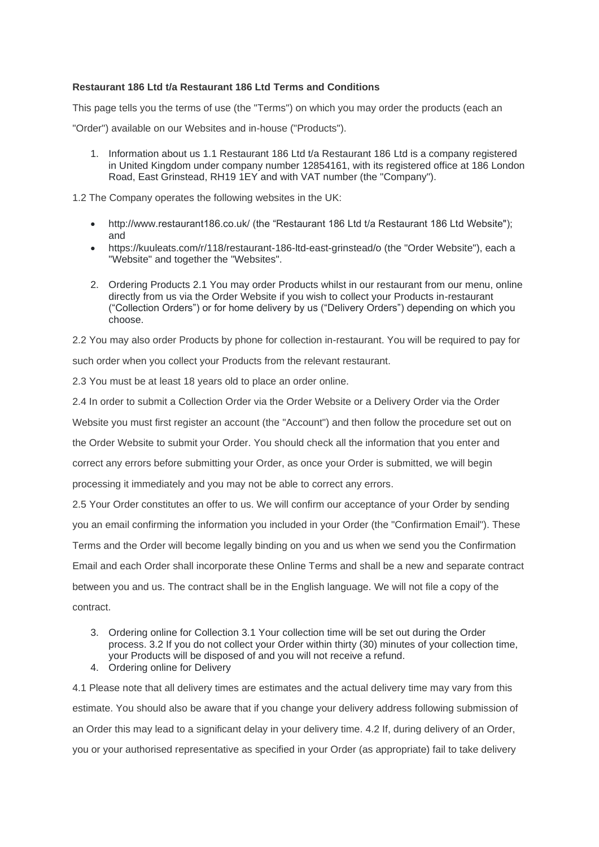## **Restaurant 186 Ltd t/a Restaurant 186 Ltd Terms and Conditions**

This page tells you the terms of use (the "Terms") on which you may order the products (each an

"Order") available on our Websites and in-house ("Products").

1. Information about us 1.1 Restaurant 186 Ltd t/a Restaurant 186 Ltd is a company registered in United Kingdom under company number 12854161, with its registered office at 186 London Road, East Grinstead, RH19 1EY and with VAT number (the "Company").

1.2 The Company operates the following websites in the UK:

- http://www.restaurant186.co.uk/ (the "Restaurant 186 Ltd t/a Restaurant 186 Ltd Website"); and
- https://kuuleats.com/r/118/restaurant-186-ltd-east-grinstead/o (the "Order Website"), each a "Website" and together the "Websites".
- 2. Ordering Products 2.1 You may order Products whilst in our restaurant from our menu, online directly from us via the Order Website if you wish to collect your Products in-restaurant ("Collection Orders") or for home delivery by us ("Delivery Orders") depending on which you choose.

2.2 You may also order Products by phone for collection in-restaurant. You will be required to pay for such order when you collect your Products from the relevant restaurant.

2.3 You must be at least 18 years old to place an order online.

2.4 In order to submit a Collection Order via the Order Website or a Delivery Order via the Order

Website you must first register an account (the "Account") and then follow the procedure set out on

the Order Website to submit your Order. You should check all the information that you enter and

correct any errors before submitting your Order, as once your Order is submitted, we will begin

processing it immediately and you may not be able to correct any errors.

2.5 Your Order constitutes an offer to us. We will confirm our acceptance of your Order by sending

you an email confirming the information you included in your Order (the "Confirmation Email"). These

Terms and the Order will become legally binding on you and us when we send you the Confirmation

Email and each Order shall incorporate these Online Terms and shall be a new and separate contract

between you and us. The contract shall be in the English language. We will not file a copy of the contract.

- - 3. Ordering online for Collection 3.1 Your collection time will be set out during the Order process. 3.2 If you do not collect your Order within thirty (30) minutes of your collection time, your Products will be disposed of and you will not receive a refund.
	- 4. Ordering online for Delivery

4.1 Please note that all delivery times are estimates and the actual delivery time may vary from this estimate. You should also be aware that if you change your delivery address following submission of an Order this may lead to a significant delay in your delivery time. 4.2 If, during delivery of an Order, you or your authorised representative as specified in your Order (as appropriate) fail to take delivery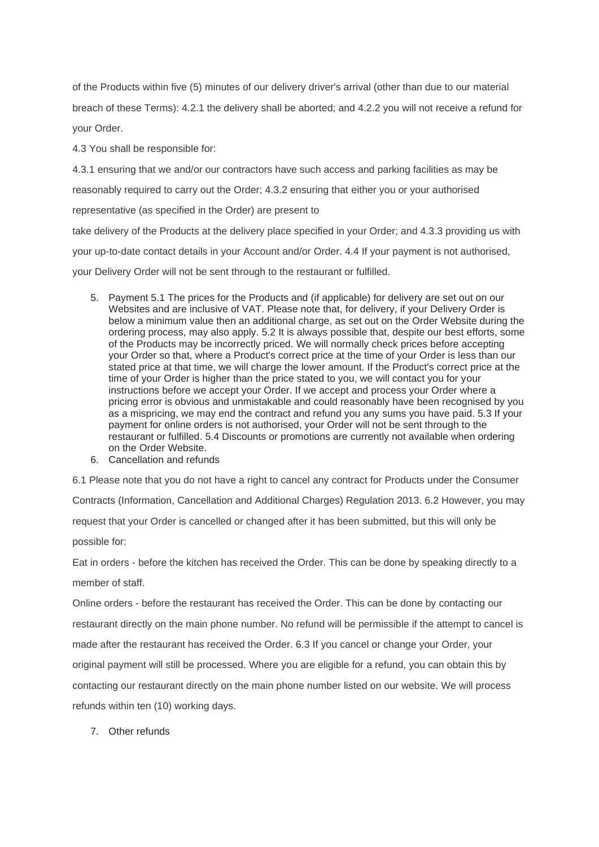of the Products within five (5) minutes of our delivery driver's arrival (other than due to our material breach of these Terms): 4.2.1 the delivery shall be aborted; and 4.2.2 you will not receive a refund for your Order.

4.3 You shall be responsible for:

4.3.1 ensuring that we and/or our contractors have such access and parking facilities as may be

reasonably required to carry out the Order; 4.3.2 ensuring that either you or your authorised

representative (as specified in the Order) are present to

take delivery of the Products at the delivery place specified in your Order; and 4.3.3 providing us with

your up-to-date contact details in your Account and/or Order. 4.4 If your payment is not authorised,

your Delivery Order will not be sent through to the restaurant or fulfilled.

- 5. Payment 5.1 The prices for the Products and (if applicable) for delivery are set out on our Websites and are inclusive of VAT. Please note that, for delivery, if your Delivery Order is below a minimum value then an additional charge, as set out on the Order Website during the ordering process, may also apply. 5.2 It is always possible that, despite our best efforts, some of the Products may be incorrectly priced. We will normally check prices before accepting your Order so that, where a Product's correct price at the time of your Order is less than our stated price at that time, we will charge the lower amount. If the Product's correct price at the time of your Order is higher than the price stated to you, we will contact you for your instructions before we accept your Order. If we accept and process your Order where a pricing error is obvious and unmistakable and could reasonably have been recognised by you as a mispricing, we may end the contract and refund you any sums you have paid. 5.3 If your payment for online orders is not authorised, your Order will not be sent through to the restaurant or fulfilled. 5.4 Discounts or promotions are currently not available when ordering on the Order Website.
- 6. Cancellation and refunds

6.1 Please note that you do not have a right to cancel any contract for Products under the Consumer

Contracts (Information, Cancellation and Additional Charges) Regulation 2013. 6.2 However, you may request that your Order is cancelled or changed after it has been submitted, but this will only be possible for:

Eat in orders - before the kitchen has received the Order. This can be done by speaking directly to a member of staff

Online orders - before the restaurant has received the Order. This can be done by contacting our restaurant directly on the main phone number. No refund will be permissible if the attempt to cancel is made after the restaurant has received the Order. 6.3 If you cancel or change your Order, your original payment will still be processed. Where you are eligible for a refund, you can obtain this by contacting our restaurant directly on the main phone number listed on our website. We will process refunds within ten (10) working days.

7. Other refunds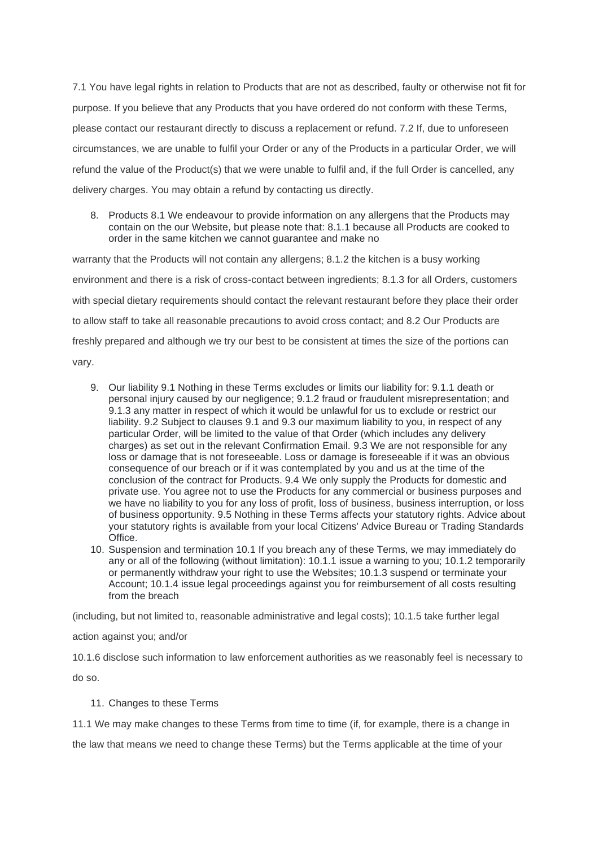7.1 You have legal rights in relation to Products that are not as described, faulty or otherwise not fit for purpose. If you believe that any Products that you have ordered do not conform with these Terms, please contact our restaurant directly to discuss a replacement or refund. 7.2 If, due to unforeseen circumstances, we are unable to fulfil your Order or any of the Products in a particular Order, we will refund the value of the Product(s) that we were unable to fulfil and, if the full Order is cancelled, any delivery charges. You may obtain a refund by contacting us directly.

8. Products 8.1 We endeavour to provide information on any allergens that the Products may contain on the our Website, but please note that: 8.1.1 because all Products are cooked to order in the same kitchen we cannot guarantee and make no

warranty that the Products will not contain any allergens; 8.1.2 the kitchen is a busy working environment and there is a risk of cross-contact between ingredients; 8.1.3 for all Orders, customers with special dietary requirements should contact the relevant restaurant before they place their order to allow staff to take all reasonable precautions to avoid cross contact; and 8.2 Our Products are freshly prepared and although we try our best to be consistent at times the size of the portions can vary.

- 9. Our liability 9.1 Nothing in these Terms excludes or limits our liability for: 9.1.1 death or personal injury caused by our negligence; 9.1.2 fraud or fraudulent misrepresentation; and 9.1.3 any matter in respect of which it would be unlawful for us to exclude or restrict our liability. 9.2 Subject to clauses 9.1 and 9.3 our maximum liability to you, in respect of any particular Order, will be limited to the value of that Order (which includes any delivery charges) as set out in the relevant Confirmation Email. 9.3 We are not responsible for any loss or damage that is not foreseeable. Loss or damage is foreseeable if it was an obvious consequence of our breach or if it was contemplated by you and us at the time of the conclusion of the contract for Products. 9.4 We only supply the Products for domestic and private use. You agree not to use the Products for any commercial or business purposes and we have no liability to you for any loss of profit, loss of business, business interruption, or loss of business opportunity. 9.5 Nothing in these Terms affects your statutory rights. Advice about your statutory rights is available from your local Citizens' Advice Bureau or Trading Standards Office.
- 10. Suspension and termination 10.1 If you breach any of these Terms, we may immediately do any or all of the following (without limitation): 10.1.1 issue a warning to you; 10.1.2 temporarily or permanently withdraw your right to use the Websites; 10.1.3 suspend or terminate your Account; 10.1.4 issue legal proceedings against you for reimbursement of all costs resulting from the breach

(including, but not limited to, reasonable administrative and legal costs); 10.1.5 take further legal

action against you; and/or

10.1.6 disclose such information to law enforcement authorities as we reasonably feel is necessary to do so.

11. Changes to these Terms

11.1 We may make changes to these Terms from time to time (if, for example, there is a change in

the law that means we need to change these Terms) but the Terms applicable at the time of your